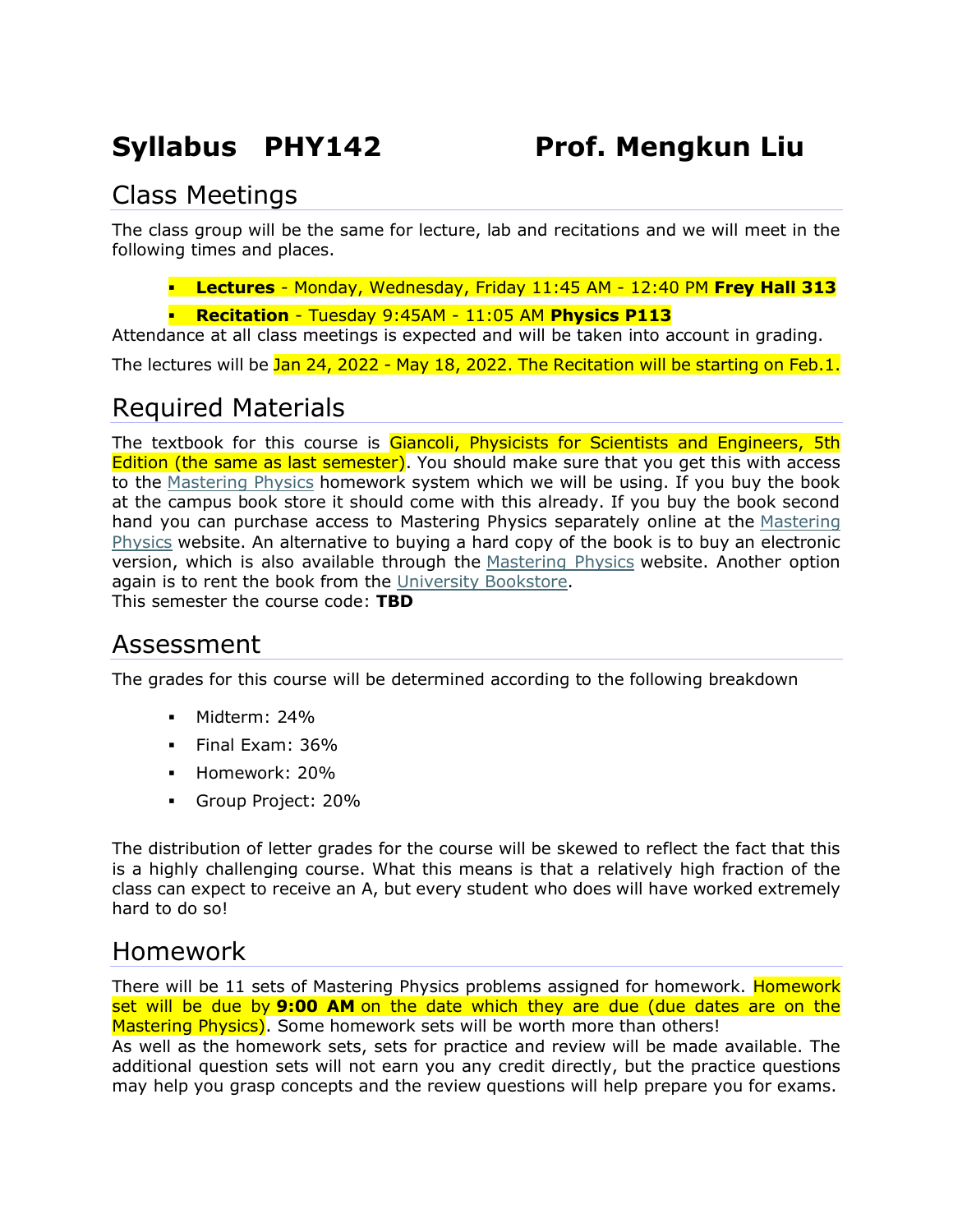# **Syllabus PHY142 Prof. Mengkun Liu**

#### Class Meetings

The class group will be the same for lecture, lab and recitations and we will meet in the following times and places.

- **Lectures** Monday, Wednesday, Friday 11:45 AM 12:40 PM **Frey Hall 313**
- **Recitation** Tuesday 9:45AM 11:05 AM **Physics P113**

Attendance at all class meetings is expected and will be taken into account in grading.

The lectures will be Jan 24, 2022 - May 18, 2022. The Recitation will be starting on Feb.1.

## Required Materials

The textbook for this course is Giancoli, Physicists for Scientists and Engineers, 5th **Edition (the same as last semester)**. You should make sure that you get this with access to the [Mastering Physics](http://www.masteringphysics.com/) homework system which we will be using. If you buy the book at the campus book store it should come with this already. If you buy the book second hand you can purchase access to Mastering Physics separately online at the [Mastering](http://www.masteringphysics.com/)  [Physics](http://www.masteringphysics.com/) website. An alternative to buying a hard copy of the book is to buy an electronic version, which is also available through the [Mastering Physics](http://www.masteringphysics.com/) website. Another option again is to rent the book from the [University Bookstore.](http://sunysb.bncollege.com/webapp/wcs/stores/servlet/BNCBRentalView?langId=-1&storeId=22552&catalogId=10001)

This semester the course code: **TBD**

#### Assessment

The grades for this course will be determined according to the following breakdown

- Midterm: 24%
- Final Exam: 36%
- Homework: 20%
- Group Project: 20%

The distribution of letter grades for the course will be skewed to reflect the fact that this is a highly challenging course. What this means is that a relatively high fraction of the class can expect to receive an A, but every student who does will have worked extremely hard to do so!

#### Homework

There will be 11 sets of Mastering Physics problems assigned for homework. Homework set will be due by **9:00 AM** on the date which they are due (due dates are on the Mastering Physics). Some homework sets will be worth more than others!

As well as the homework sets, sets for practice and review will be made available. The additional question sets will not earn you any credit directly, but the practice questions may help you grasp concepts and the review questions will help prepare you for exams.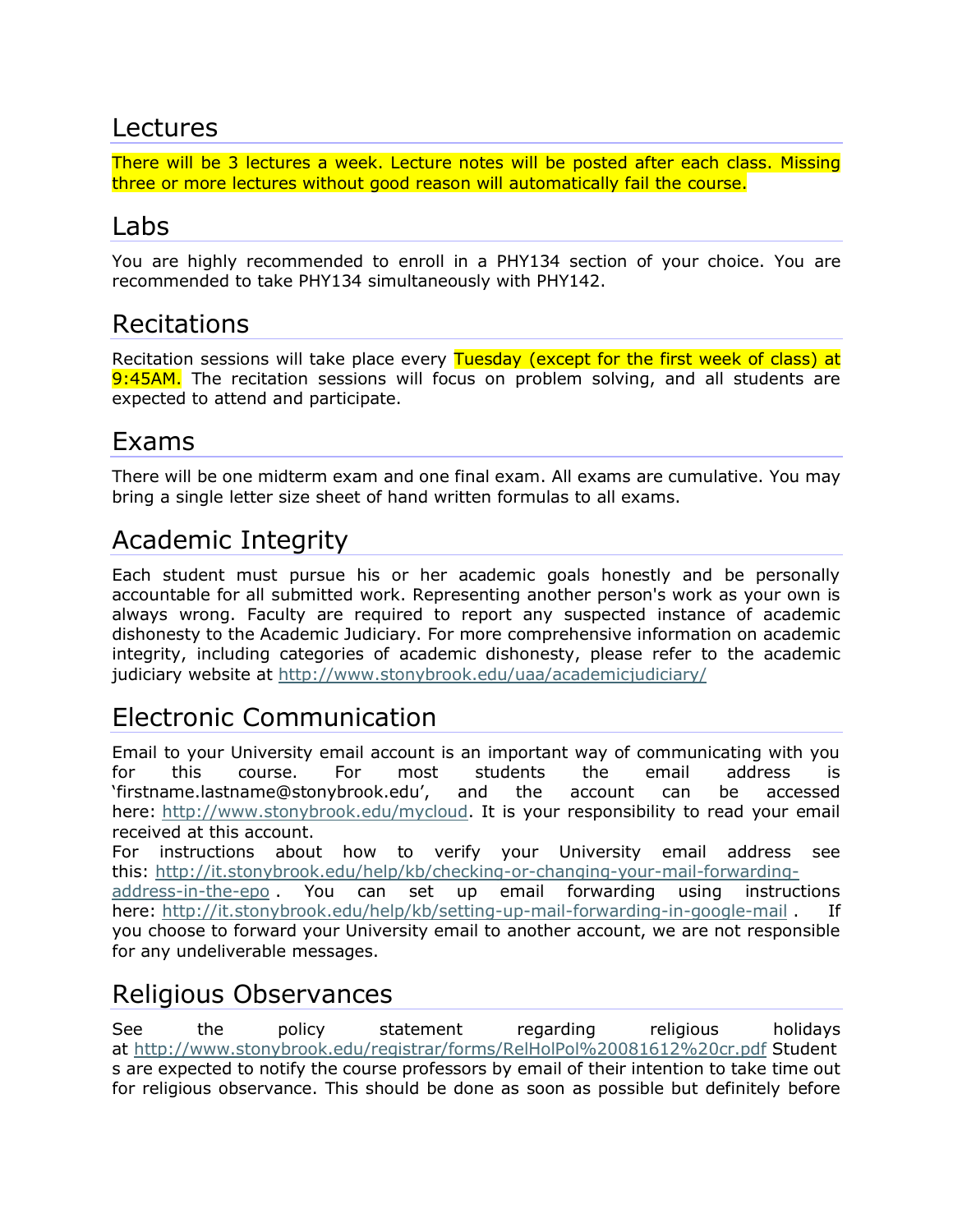#### Lectures

There will be 3 lectures a week. Lecture notes will be posted after each class. Missing three or more lectures without good reason will automatically fail the course.

#### Labs

You are highly recommended to enroll in a PHY134 section of your choice. You are recommended to take PHY134 simultaneously with PHY142.

#### Recitations

Recitation sessions will take place every Tuesday (except for the first week of class) at 9:45AM. The recitation sessions will focus on problem solving, and all students are expected to attend and participate.

#### Exams

There will be one midterm exam and one final exam. All exams are cumulative. You may bring a single letter size sheet of hand written formulas to all exams.

## Academic Integrity

Each student must pursue his or her academic goals honestly and be personally accountable for all submitted work. Representing another person's work as your own is always wrong. Faculty are required to report any suspected instance of academic dishonesty to the Academic Judiciary. For more comprehensive information on academic integrity, including categories of academic dishonesty, please refer to the academic judiciary website at <http://www.stonybrook.edu/uaa/academicjudiciary/>

## Electronic Communication

Email to your University email account is an important way of communicating with you for this course. For most students the email address is 'firstname.lastname@stonybrook.edu', and the account can be accessed here: [http://www.stonybrook.edu/mycloud.](http://www.stonybrook.edu/mycloud) It is your responsibility to read your email received at this account.

For instructions about how to verify your University email address see this: [http://it.stonybrook.edu/help/kb/checking-or-changing-your-mail-forwarding](http://it.stonybrook.edu/help/kb/checking-or-changing-your-mail-forwarding-address-in-the-epo)[address-in-the-epo](http://it.stonybrook.edu/help/kb/checking-or-changing-your-mail-forwarding-address-in-the-epo) . You can set up email forwarding using instructions here: <http://it.stonybrook.edu/help/kb/setting-up-mail-forwarding-in-google-mail> **If** you choose to forward your University email to another account, we are not responsible for any undeliverable messages.

## Religious Observances

See the policy statement regarding religious holidays at <http://www.stonybrook.edu/registrar/forms/RelHolPol%20081612%20cr.pdf> Student s are expected to notify the course professors by email of their intention to take time out for religious observance. This should be done as soon as possible but definitely before